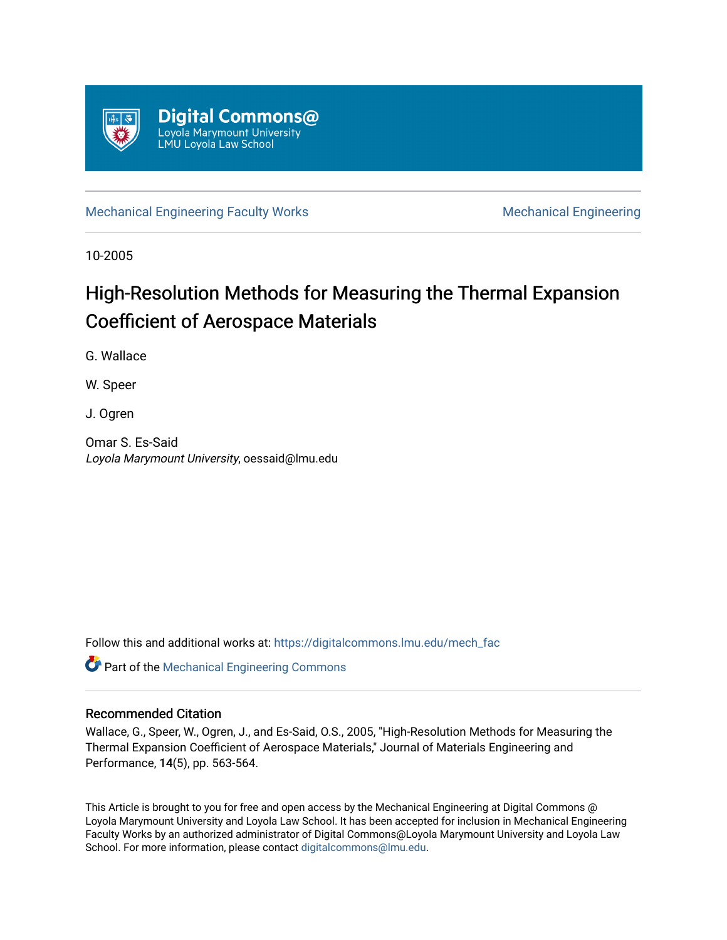

[Mechanical Engineering Faculty Works](https://digitalcommons.lmu.edu/mech_fac) [Mechanical Engineering](https://digitalcommons.lmu.edu/mech) **Mechanical** Engineering

10-2005

## High-Resolution Methods for Measuring the Thermal Expansion Coefficient of Aerospace Materials

G. Wallace

W. Speer

J. Ogren

Omar S. Es-Said Loyola Marymount University, oessaid@lmu.edu

Follow this and additional works at: [https://digitalcommons.lmu.edu/mech\\_fac](https://digitalcommons.lmu.edu/mech_fac?utm_source=digitalcommons.lmu.edu%2Fmech_fac%2F9&utm_medium=PDF&utm_campaign=PDFCoverPages)

Part of the [Mechanical Engineering Commons](http://network.bepress.com/hgg/discipline/293?utm_source=digitalcommons.lmu.edu%2Fmech_fac%2F9&utm_medium=PDF&utm_campaign=PDFCoverPages) 

### Recommended Citation

Wallace, G., Speer, W., Ogren, J., and Es-Said, O.S., 2005, "High-Resolution Methods for Measuring the Thermal Expansion Coefficient of Aerospace Materials," Journal of Materials Engineering and Performance, 14(5), pp. 563-564.

This Article is brought to you for free and open access by the Mechanical Engineering at Digital Commons @ Loyola Marymount University and Loyola Law School. It has been accepted for inclusion in Mechanical Engineering Faculty Works by an authorized administrator of Digital Commons@Loyola Marymount University and Loyola Law School. For more information, please contact [digitalcommons@lmu.edu.](mailto:digitalcommons@lmu.edu)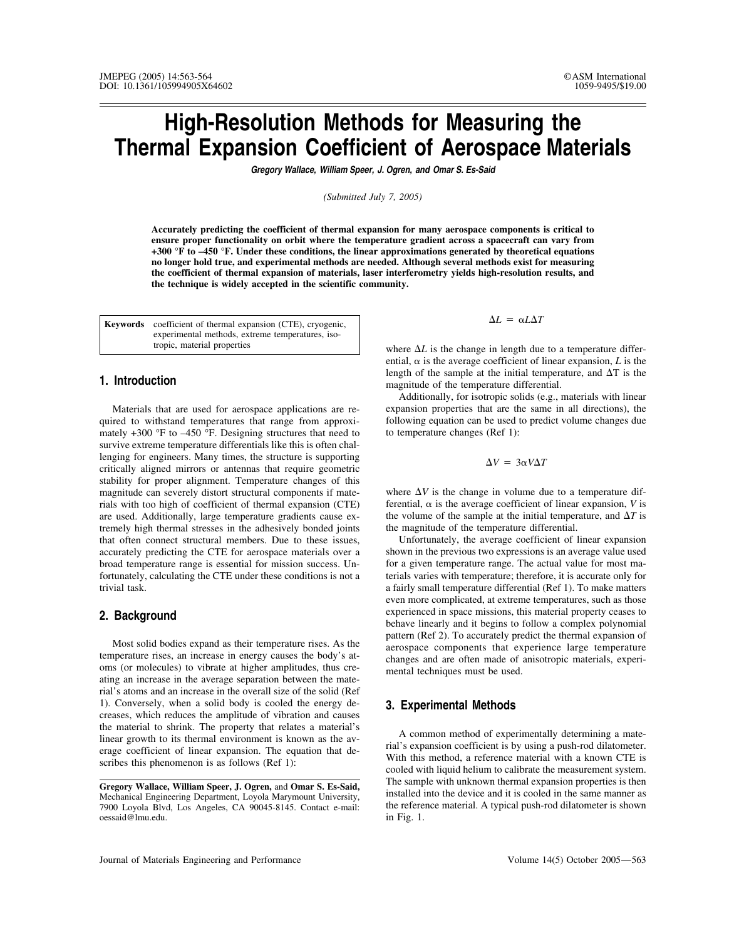# **High-Resolution Methods for Measuring the Thermal Expansion Coefficient of Aerospace Materials**

*Gregory Wallace, William Speer, J. Ogren, and Omar S. Es-Said*

*(Submitted July 7, 2005)*

**Accurately predicting the coefficient of thermal expansion for many aerospace components is critical to ensure proper functionality on orbit where the temperature gradient across a spacecraft can vary from +300 °F to –450 °F. Under these conditions, the linear approximations generated by theoretical equations no longer hold true, and experimental methods are needed. Although several methods exist for measuring the coefficient of thermal expansion of materials, laser interferometry yields high-resolution results, and the technique is widely accepted in the scientific community.**

**Keywords** coefficient of thermal expansion (CTE), cryogenic, experimental methods, extreme temperatures, isotropic, material properties

#### **1. Introduction**

Materials that are used for aerospace applications are required to withstand temperatures that range from approximately +300 °F to –450 °F. Designing structures that need to survive extreme temperature differentials like this is often challenging for engineers. Many times, the structure is supporting critically aligned mirrors or antennas that require geometric stability for proper alignment. Temperature changes of this magnitude can severely distort structural components if materials with too high of coefficient of thermal expansion (CTE) are used. Additionally, large temperature gradients cause extremely high thermal stresses in the adhesively bonded joints that often connect structural members. Due to these issues, accurately predicting the CTE for aerospace materials over a broad temperature range is essential for mission success. Unfortunately, calculating the CTE under these conditions is not a trivial task.

### **2. Background**

Most solid bodies expand as their temperature rises. As the temperature rises, an increase in energy causes the body's atoms (or molecules) to vibrate at higher amplitudes, thus creating an increase in the average separation between the material's atoms and an increase in the overall size of the solid (Ref 1). Conversely, when a solid body is cooled the energy decreases, which reduces the amplitude of vibration and causes the material to shrink. The property that relates a material's linear growth to its thermal environment is known as the average coefficient of linear expansion. The equation that describes this phenomenon is as follows (Ref 1):

 $\Delta L = \alpha L \Delta T$ 

where  $\Delta L$  is the change in length due to a temperature differential,  $\alpha$  is the average coefficient of linear expansion,  $L$  is the length of the sample at the initial temperature, and  $\Delta T$  is the magnitude of the temperature differential.

Additionally, for isotropic solids (e.g., materials with linear expansion properties that are the same in all directions), the following equation can be used to predict volume changes due to temperature changes (Ref 1):

$$
\Delta V = 3\alpha V \Delta T
$$

where  $\Delta V$  is the change in volume due to a temperature differential,  $\alpha$  is the average coefficient of linear expansion, *V* is the volume of the sample at the initial temperature, and  $\Delta T$  is the magnitude of the temperature differential.

Unfortunately, the average coefficient of linear expansion shown in the previous two expressions is an average value used for a given temperature range. The actual value for most materials varies with temperature; therefore, it is accurate only for a fairly small temperature differential (Ref 1). To make matters even more complicated, at extreme temperatures, such as those experienced in space missions, this material property ceases to behave linearly and it begins to follow a complex polynomial pattern (Ref 2). To accurately predict the thermal expansion of aerospace components that experience large temperature changes and are often made of anisotropic materials, experimental techniques must be used.

### **3. Experimental Methods**

A common method of experimentally determining a material's expansion coefficient is by using a push-rod dilatometer. With this method, a reference material with a known CTE is cooled with liquid helium to calibrate the measurement system. The sample with unknown thermal expansion properties is then installed into the device and it is cooled in the same manner as the reference material. A typical push-rod dilatometer is shown in Fig. 1.

**Gregory Wallace, William Speer, J. Ogren,** and **Omar S. Es-Said,** Mechanical Engineering Department, Loyola Marymount University, 7900 Loyola Blvd, Los Angeles, CA 90045-8145. Contact e-mail: oessaid@lmu.edu.